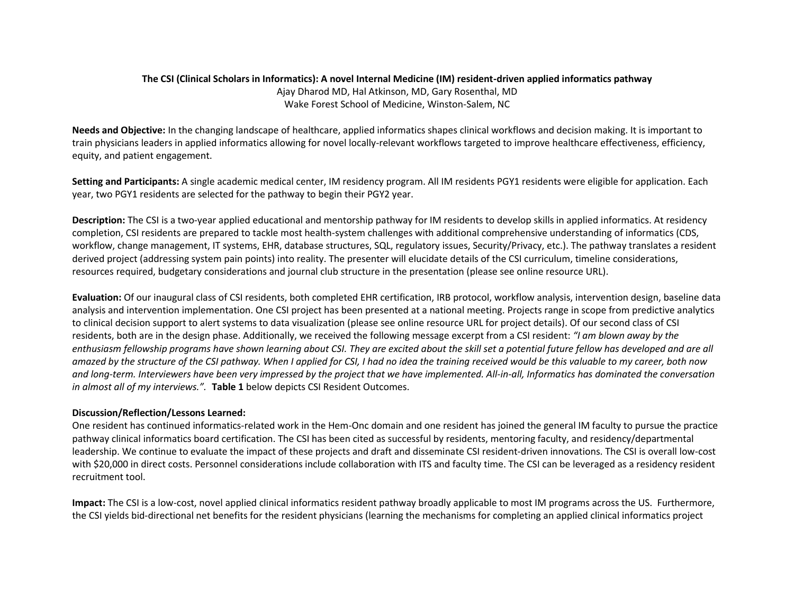# **The CSI (Clinical Scholars in Informatics): A novel Internal Medicine (IM) resident-driven applied informatics pathway** Ajay Dharod MD, Hal Atkinson, MD, Gary Rosenthal, MD Wake Forest School of Medicine, Winston-Salem, NC

**Needs and Objective:** In the changing landscape of healthcare, applied informatics shapes clinical workflows and decision making. It is important to train physicians leaders in applied informatics allowing for novel locally-relevant workflows targeted to improve healthcare effectiveness, efficiency, equity, and patient engagement.

**Setting and Participants:** A single academic medical center, IM residency program. All IM residents PGY1 residents were eligible for application. Each year, two PGY1 residents are selected for the pathway to begin their PGY2 year.

**Description:** The CSI is a two-year applied educational and mentorship pathway for IM residents to develop skills in applied informatics. At residency completion, CSI residents are prepared to tackle most health-system challenges with additional comprehensive understanding of informatics (CDS, workflow, change management, IT systems, EHR, database structures, SQL, regulatory issues, Security/Privacy, etc.). The pathway translates a resident derived project (addressing system pain points) into reality. The presenter will elucidate details of the CSI curriculum, timeline considerations, resources required, budgetary considerations and journal club structure in the presentation (please see online resource URL).

**Evaluation:** Of our inaugural class of CSI residents, both completed EHR certification, IRB protocol, workflow analysis, intervention design, baseline data analysis and intervention implementation. One CSI project has been presented at a national meeting. Projects range in scope from predictive analytics to clinical decision support to alert systems to data visualization (please see online resource URL for project details). Of our second class of CSI residents, both are in the design phase. Additionally, we received the following message excerpt from a CSI resident: *"I am blown away by the enthusiasm fellowship programs have shown learning about CSI. They are excited about the skill set a potential future fellow has developed and are all amazed by the structure of the CSI pathway. When I applied for CSI, I had no idea the training received would be this valuable to my career, both now and long-term. Interviewers have been very impressed by the project that we have implemented. All-in-all, Informatics has dominated the conversation in almost all of my interviews.".* **Table 1** below depicts CSI Resident Outcomes.

#### **Discussion/Reflection/Lessons Learned:**

One resident has continued informatics-related work in the Hem-Onc domain and one resident has joined the general IM faculty to pursue the practice pathway clinical informatics board certification. The CSI has been cited as successful by residents, mentoring faculty, and residency/departmental leadership. We continue to evaluate the impact of these projects and draft and disseminate CSI resident-driven innovations. The CSI is overall low-cost with \$20,000 in direct costs. Personnel considerations include collaboration with ITS and faculty time. The CSI can be leveraged as a residency resident recruitment tool.

**Impact:** The CSI is a low-cost, novel applied clinical informatics resident pathway broadly applicable to most IM programs across the US. Furthermore, the CSI yields bid-directional net benefits for the resident physicians (learning the mechanisms for completing an applied clinical informatics project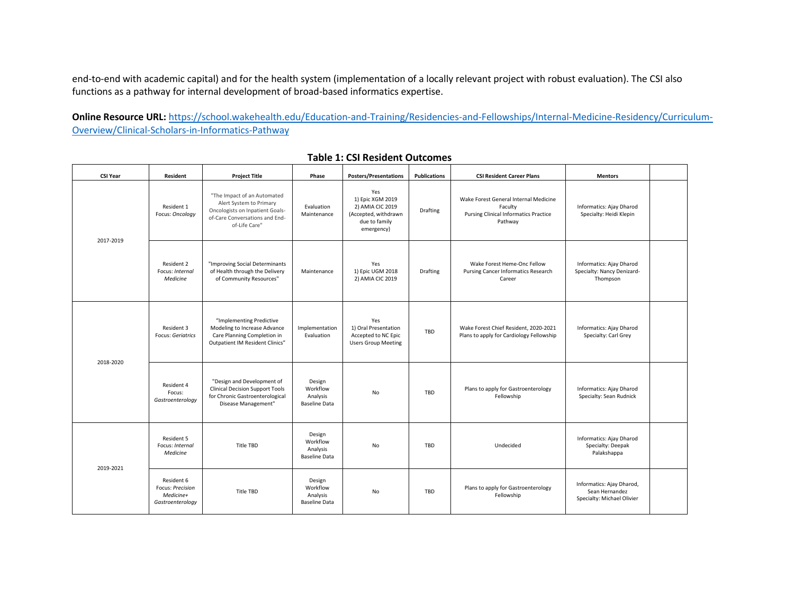end-to-end with academic capital) and for the health system (implementation of a locally relevant project with robust evaluation). The CSI also functions as a pathway for internal development of broad-based informatics expertise.

**Online Resource URL:** [https://school.wakehealth.edu/Education-and-Training/Residencies-and-Fellowships/Internal-Medicine-Residency/Curriculum-](https://school.wakehealth.edu/Education-and-Training/Residencies-and-Fellowships/Internal-Medicine-Residency/Curriculum-Overview/Clinical-Scholars-in-Informatics-Pathway)[Overview/Clinical-Scholars-in-Informatics-Pathway](https://school.wakehealth.edu/Education-and-Training/Residencies-and-Fellowships/Internal-Medicine-Residency/Curriculum-Overview/Clinical-Scholars-in-Informatics-Pathway)

| <b>CSI Year</b> | Resident                                                        | <b>Project Title</b>                                                                                                                         | Phase                                                  | <b>Posters/Presentations</b>                                                                       | <b>Publications</b> | <b>CSI Resident Career Plans</b>                                                                            | <b>Mentors</b>                                                            |  |
|-----------------|-----------------------------------------------------------------|----------------------------------------------------------------------------------------------------------------------------------------------|--------------------------------------------------------|----------------------------------------------------------------------------------------------------|---------------------|-------------------------------------------------------------------------------------------------------------|---------------------------------------------------------------------------|--|
| 2017-2019       | Resident 1<br>Focus: Oncology                                   | "The Impact of an Automated<br>Alert System to Primary<br>Oncologists on Inpatient Goals-<br>of-Care Conversations and End-<br>of-Life Care" | Evaluation<br>Maintenance                              | Yes<br>1) Epic XGM 2019<br>2) AMIA CIC 2019<br>(Accepted, withdrawn<br>due to family<br>emergency) | <b>Drafting</b>     | Wake Forest General Internal Medicine<br>Faculty<br><b>Pursing Clinical Informatics Practice</b><br>Pathway | <b>Informatics: Ajay Dharod</b><br>Specialty: Heidi Klepin                |  |
|                 | Resident 2<br>Focus: Internal<br>Medicine                       | "Improving Social Determinants<br>of Health through the Delivery<br>of Community Resources"                                                  | Maintenance                                            | Yes<br>1) Epic UGM 2018<br>2) AMIA CIC 2019                                                        | Drafting            | Wake Forest Heme-Onc Fellow<br><b>Pursing Cancer Informatics Research</b><br>Career                         | Informatics: Ajay Dharod<br>Specialty: Nancy Denizard-<br>Thompson        |  |
| 2018-2020       | Resident 3<br><b>Focus: Geriatrics</b>                          | "Implementing Predictive<br>Modeling to Increase Advance<br>Care Planning Completion in<br>Outpatient IM Resident Clinics"                   | Implementation<br>Evaluation                           | Yes<br>1) Oral Presentation<br>Accepted to NC Epic<br><b>Users Group Meeting</b>                   | TBD                 | Wake Forest Chief Resident, 2020-2021<br>Plans to apply for Cardiology Fellowship                           | Informatics: Ajay Dharod<br>Specialty: Carl Grey                          |  |
|                 | Resident 4<br>Focus:<br>Gastroenterology                        | "Design and Development of<br><b>Clinical Decision Support Tools</b><br>for Chronic Gastroenterological<br>Disease Management"               | Design<br>Workflow<br>Analysis<br><b>Baseline Data</b> | No                                                                                                 | TBD                 | Plans to apply for Gastroenterology<br>Fellowship                                                           | Informatics: Ajay Dharod<br>Specialty: Sean Rudnick                       |  |
| 2019-2021       | Resident 5<br>Focus: Internal<br>Medicine                       | Title TBD                                                                                                                                    | Design<br>Workflow<br>Analysis<br><b>Baseline Data</b> | <b>No</b>                                                                                          | TBD                 | Undecided                                                                                                   | Informatics: Ajay Dharod<br>Specialty: Deepak<br>Palakshappa              |  |
|                 | Resident 6<br>Focus: Precision<br>Medicine+<br>Gastroenterology | Title TBD                                                                                                                                    | Design<br>Workflow<br>Analysis<br><b>Baseline Data</b> | No                                                                                                 | TBD                 | Plans to apply for Gastroenterology<br>Fellowship                                                           | Informatics: Ajay Dharod,<br>Sean Hernandez<br>Specialty: Michael Olivier |  |

### **Table 1: CSI Resident Outcomes**